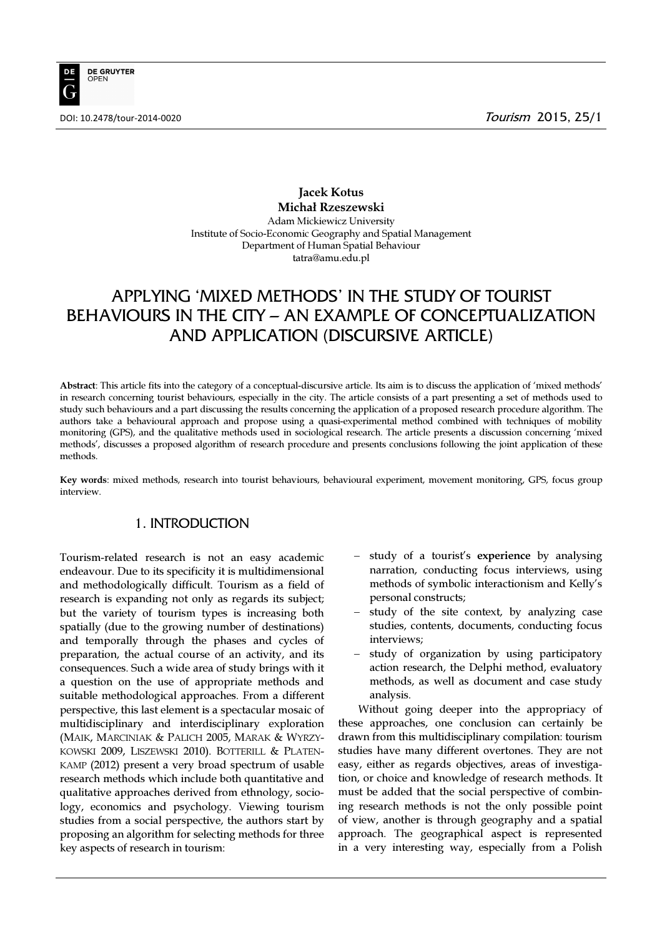DOI: 10.2478/tour-2014-0020 Tourism 2015, 25/1



Jacek Kotus Michał Rzeszewski Adam Mickiewicz University Institute of Socio-Economic Geography and Spatial Management Department of Human Spatial Behaviour tatra@amu.edu.pl

# APPLYING 'MIXED METHODS' IN THE STUDY OF TOURIST BEHAVIOURS IN THE CITY – AN EXAMPLE OF CONCEPTUALIZATION AND APPLICATION (DISCURSIVE ARTICLE)

Abstract: This article fits into the category of a conceptual-discursive article. Its aim is to discuss the application of 'mixed methods' in research concerning tourist behaviours, especially in the city. The article consists of a part presenting a set of methods used to study such behaviours and a part discussing the results concerning the application of a proposed research procedure algorithm. The authors take a behavioural approach and propose using a quasi-experimental method combined with techniques of mobility monitoring (GPS), and the qualitative methods used in sociological research. The article presents a discussion concerning 'mixed methods', discusses a proposed algorithm of research procedure and presents conclusions following the joint application of these methods.

Key words: mixed methods, research into tourist behaviours, behavioural experiment, movement monitoring, GPS, focus group interview.

### 1. INTRODUCTION

Tourism-related research is not an easy academic endeavour. Due to its specificity it is multidimensional and methodologically difficult. Tourism as a field of research is expanding not only as regards its subject; but the variety of tourism types is increasing both spatially (due to the growing number of destinations) and temporally through the phases and cycles of preparation, the actual course of an activity, and its consequences. Such a wide area of study brings with it a question on the use of appropriate methods and suitable methodological approaches. From a different perspective, this last element is a spectacular mosaic of multidisciplinary and interdisciplinary exploration (MAIK, MARCINIAK & PALICH 2005, MARAK & WYRZY-KOWSKI 2009, LISZEWSKI 2010). BOTTERILL & PLATEN-KAMP (2012) present a very broad spectrum of usable research methods which include both quantitative and qualitative approaches derived from ethnology, sociology, economics and psychology. Viewing tourism studies from a social perspective, the authors start by proposing an algorithm for selecting methods for three key aspects of research in tourism:

- study of a tourist's experience by analysing narration, conducting focus interviews, using methods of symbolic interactionism and Kelly's personal constructs;
- study of the site context, by analyzing case studies, contents, documents, conducting focus interviews;
- − study of organization by using participatory action research, the Delphi method, evaluatory methods, as well as document and case study analysis.

Without going deeper into the appropriacy of these approaches, one conclusion can certainly be drawn from this multidisciplinary compilation: tourism studies have many different overtones. They are not easy, either as regards objectives, areas of investigation, or choice and knowledge of research methods. It must be added that the social perspective of combining research methods is not the only possible point of view, another is through geography and a spatial approach. The geographical aspect is represented in a very interesting way, especially from a Polish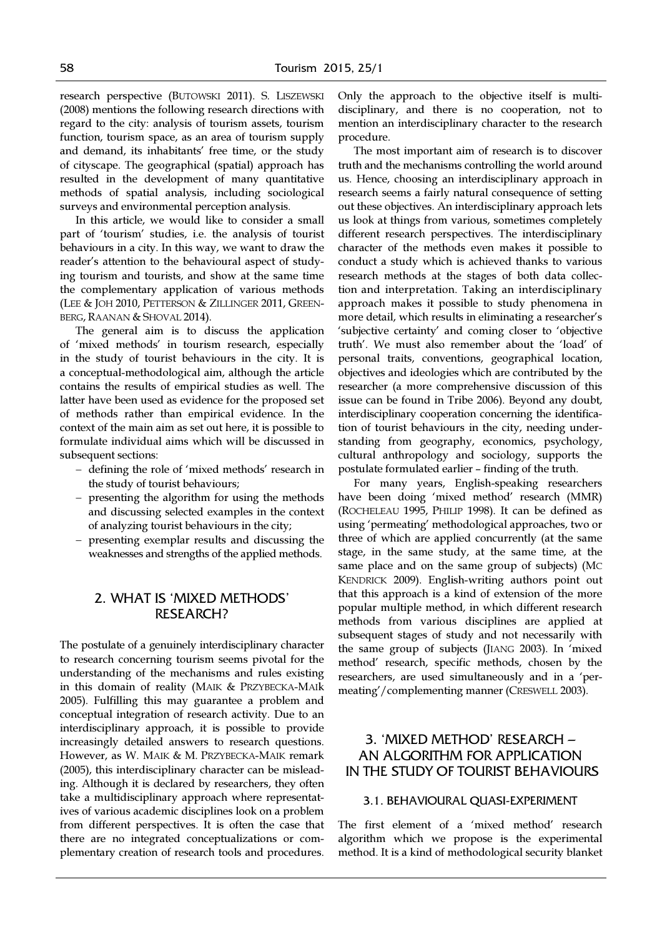research perspective (BUTOWSKI 2011). S. LISZEWSKI (2008) mentions the following research directions with regard to the city: analysis of tourism assets, tourism function, tourism space, as an area of tourism supply and demand, its inhabitants' free time, or the study of cityscape. The geographical (spatial) approach has resulted in the development of many quantitative methods of spatial analysis, including sociological surveys and environmental perception analysis.

In this article, we would like to consider a small part of 'tourism' studies, i.e. the analysis of tourist behaviours in a city. In this way, we want to draw the reader's attention to the behavioural aspect of studying tourism and tourists, and show at the same time the complementary application of various methods (LEE & JOH 2010, PETTERSON & ZILLINGER 2011, GREEN-BERG, RAANAN & SHOVAL 2014).

The general aim is to discuss the application of 'mixed methods' in tourism research, especially in the study of tourist behaviours in the city. It is a conceptual-methodological aim, although the article contains the results of empirical studies as well. The latter have been used as evidence for the proposed set of methods rather than empirical evidence. In the context of the main aim as set out here, it is possible to formulate individual aims which will be discussed in subsequent sections:

- − defining the role of 'mixed methods' research in the study of tourist behaviours;
- − presenting the algorithm for using the methods and discussing selected examples in the context of analyzing tourist behaviours in the city;
- − presenting exemplar results and discussing the weaknesses and strengths of the applied methods.

### 2. WHAT IS 'MIXED METHODS' RESEARCH?

The postulate of a genuinely interdisciplinary character to research concerning tourism seems pivotal for the understanding of the mechanisms and rules existing in this domain of reality (MAIK & PRZYBECKA-MAIk 2005). Fulfilling this may guarantee a problem and conceptual integration of research activity. Due to an interdisciplinary approach, it is possible to provide increasingly detailed answers to research questions. However, as W. MAIK & M. PRZYBECKA-MAIK remark (2005), this interdisciplinary character can be misleading. Although it is declared by researchers, they often take a multidisciplinary approach where representatives of various academic disciplines look on a problem from different perspectives. It is often the case that there are no integrated conceptualizations or complementary creation of research tools and procedures.

Only the approach to the objective itself is multidisciplinary, and there is no cooperation, not to mention an interdisciplinary character to the research procedure.

The most important aim of research is to discover truth and the mechanisms controlling the world around us. Hence, choosing an interdisciplinary approach in research seems a fairly natural consequence of setting out these objectives. An interdisciplinary approach lets us look at things from various, sometimes completely different research perspectives. The interdisciplinary character of the methods even makes it possible to conduct a study which is achieved thanks to various research methods at the stages of both data collection and interpretation. Taking an interdisciplinary approach makes it possible to study phenomena in more detail, which results in eliminating a researcher's 'subjective certainty' and coming closer to 'objective truth'. We must also remember about the 'load' of personal traits, conventions, geographical location, objectives and ideologies which are contributed by the researcher (a more comprehensive discussion of this issue can be found in Tribe 2006). Beyond any doubt, interdisciplinary cooperation concerning the identification of tourist behaviours in the city, needing understanding from geography, economics, psychology, cultural anthropology and sociology, supports the postulate formulated earlier – finding of the truth.

For many years, English-speaking researchers have been doing 'mixed method' research (MMR) (ROCHELEAU 1995, PHILIP 1998). It can be defined as using 'permeating' methodological approaches, two or three of which are applied concurrently (at the same stage, in the same study, at the same time, at the same place and on the same group of subjects) (MC KENDRICK 2009). English-writing authors point out that this approach is a kind of extension of the more popular multiple method, in which different research methods from various disciplines are applied at subsequent stages of study and not necessarily with the same group of subjects (JIANG 2003). In 'mixed method' research, specific methods, chosen by the researchers, are used simultaneously and in a 'permeating'/complementing manner (CRESWELL 2003).

## 3. 'MIXED METHOD' RESEARCH – AN ALGORITHM FOR APPLICATION IN THE STUDY OF TOURIST BEHAVIOURS

### 3.1. BEHAVIOURAL QUASI-EXPERIMENT

The first element of a 'mixed method' research algorithm which we propose is the experimental method. It is a kind of methodological security blanket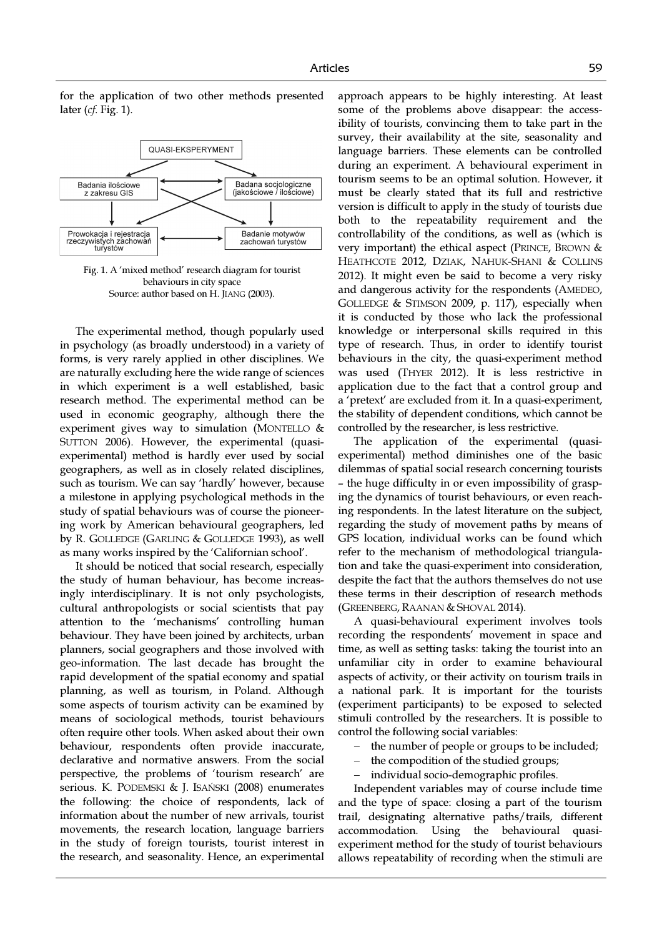for the application of two other methods presented later (cf. Fig. 1).



Fig. 1. A 'mixed method' research diagram for tourist behaviours in city space Source: author based on H. JIANG (2003).

The experimental method, though popularly used in psychology (as broadly understood) in a variety of forms, is very rarely applied in other disciplines. We are naturally excluding here the wide range of sciences in which experiment is a well established, basic research method. The experimental method can be used in economic geography, although there the experiment gives way to simulation (MONTELLO & SUTTON 2006). However, the experimental (quasiexperimental) method is hardly ever used by social geographers, as well as in closely related disciplines, such as tourism. We can say 'hardly' however, because a milestone in applying psychological methods in the study of spatial behaviours was of course the pioneering work by American behavioural geographers, led by R. GOLLEDGE (GARLING & GOLLEDGE 1993), as well as many works inspired by the 'Californian school'.

It should be noticed that social research, especially the study of human behaviour, has become increasingly interdisciplinary. It is not only psychologists, cultural anthropologists or social scientists that pay attention to the 'mechanisms' controlling human behaviour. They have been joined by architects, urban planners, social geographers and those involved with geo-information. The last decade has brought the rapid development of the spatial economy and spatial planning, as well as tourism, in Poland. Although some aspects of tourism activity can be examined by means of sociological methods, tourist behaviours often require other tools. When asked about their own behaviour, respondents often provide inaccurate, declarative and normative answers. From the social perspective, the problems of 'tourism research' are serious. K. PODEMSKI & J. ISAŃSKI (2008) enumerates the following: the choice of respondents, lack of information about the number of new arrivals, tourist movements, the research location, language barriers in the study of foreign tourists, tourist interest in the research, and seasonality. Hence, an experimental

approach appears to be highly interesting. At least some of the problems above disappear: the accessibility of tourists, convincing them to take part in the survey, their availability at the site, seasonality and language barriers. These elements can be controlled during an experiment. A behavioural experiment in tourism seems to be an optimal solution. However, it must be clearly stated that its full and restrictive version is difficult to apply in the study of tourists due both to the repeatability requirement and the controllability of the conditions, as well as (which is very important) the ethical aspect (PRINCE, BROWN & HEATHCOTE 2012, DZIAK, NAHUK-SHANI & COLLINS 2012). It might even be said to become a very risky and dangerous activity for the respondents (AMEDEO, GOLLEDGE & STIMSON 2009, p. 117), especially when it is conducted by those who lack the professional knowledge or interpersonal skills required in this type of research. Thus, in order to identify tourist behaviours in the city, the quasi-experiment method was used (THYER 2012). It is less restrictive in application due to the fact that a control group and a 'pretext' are excluded from it. In a quasi-experiment, the stability of dependent conditions, which cannot be controlled by the researcher, is less restrictive.

The application of the experimental (quasiexperimental) method diminishes one of the basic dilemmas of spatial social research concerning tourists – the huge difficulty in or even impossibility of grasping the dynamics of tourist behaviours, or even reaching respondents. In the latest literature on the subject, regarding the study of movement paths by means of GPS location, individual works can be found which refer to the mechanism of methodological triangulation and take the quasi-experiment into consideration, despite the fact that the authors themselves do not use these terms in their description of research methods (GREENBERG, RAANAN & SHOVAL 2014).

A quasi-behavioural experiment involves tools recording the respondents' movement in space and time, as well as setting tasks: taking the tourist into an unfamiliar city in order to examine behavioural aspects of activity, or their activity on tourism trails in a national park. It is important for the tourists (experiment participants) to be exposed to selected stimuli controlled by the researchers. It is possible to control the following social variables:

- the number of people or groups to be included;
- the compodition of the studied groups;
- − individual socio-demographic profiles.

Independent variables may of course include time and the type of space: closing a part of the tourism trail, designating alternative paths/trails, different accommodation. Using the behavioural quasiexperiment method for the study of tourist behaviours allows repeatability of recording when the stimuli are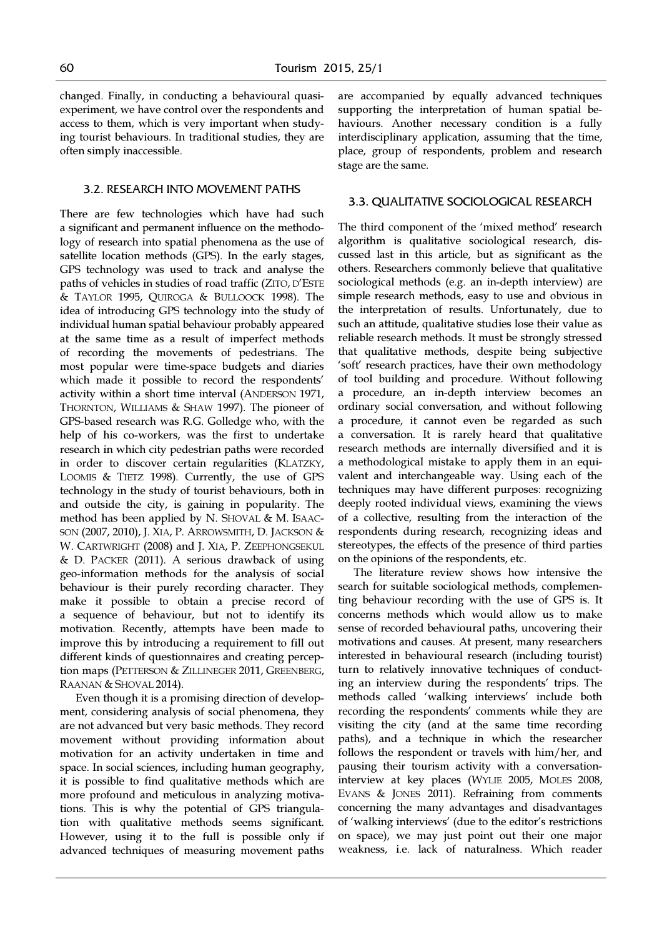changed. Finally, in conducting a behavioural quasiexperiment, we have control over the respondents and access to them, which is very important when studying tourist behaviours. In traditional studies, they are often simply inaccessible.

### 3.2. RESEARCH INTO MOVEMENT PATHS

There are few technologies which have had such a significant and permanent influence on the methodology of research into spatial phenomena as the use of satellite location methods (GPS). In the early stages, GPS technology was used to track and analyse the paths of vehicles in studies of road traffic (ZITO, D'ESTE & TAYLOR 1995, QUIROGA & BULLOOCK 1998). The idea of introducing GPS technology into the study of individual human spatial behaviour probably appeared at the same time as a result of imperfect methods of recording the movements of pedestrians. The most popular were time-space budgets and diaries which made it possible to record the respondents' activity within a short time interval (ANDERSON 1971, THORNTON, WILLIAMS & SHAW 1997). The pioneer of GPS-based research was R.G. Golledge who, with the help of his co-workers, was the first to undertake research in which city pedestrian paths were recorded in order to discover certain regularities (KLATZKY, LOOMIS & TIETZ 1998). Currently, the use of GPS technology in the study of tourist behaviours, both in and outside the city, is gaining in popularity. The method has been applied by N. SHOVAL & M. ISAAC-SON (2007, 2010), J. XIA, P. ARROWSMITH, D. JACKSON & W. CARTWRIGHT (2008) and J. XIA, P. ZEEPHONGSEKUL & D. PACKER (2011). A serious drawback of using geo-information methods for the analysis of social behaviour is their purely recording character. They make it possible to obtain a precise record of a sequence of behaviour, but not to identify its motivation. Recently, attempts have been made to improve this by introducing a requirement to fill out different kinds of questionnaires and creating perception maps (PETTERSON & ZILLINEGER 2011, GREENBERG, RAANAN & SHOVAL 2014).

Even though it is a promising direction of development, considering analysis of social phenomena, they are not advanced but very basic methods. They record movement without providing information about motivation for an activity undertaken in time and space. In social sciences, including human geography, it is possible to find qualitative methods which are more profound and meticulous in analyzing motivations. This is why the potential of GPS triangulation with qualitative methods seems significant. However, using it to the full is possible only if advanced techniques of measuring movement paths

are accompanied by equally advanced techniques supporting the interpretation of human spatial behaviours. Another necessary condition is a fully interdisciplinary application, assuming that the time, place, group of respondents, problem and research stage are the same.

### 3.3. QUALITATIVE SOCIOLOGICAL RESEARCH

The third component of the 'mixed method' research algorithm is qualitative sociological research, discussed last in this article, but as significant as the others. Researchers commonly believe that qualitative sociological methods (e.g. an in-depth interview) are simple research methods, easy to use and obvious in the interpretation of results. Unfortunately, due to such an attitude, qualitative studies lose their value as reliable research methods. It must be strongly stressed that qualitative methods, despite being subjective 'soft' research practices, have their own methodology of tool building and procedure. Without following a procedure, an in-depth interview becomes an ordinary social conversation, and without following a procedure, it cannot even be regarded as such a conversation. It is rarely heard that qualitative research methods are internally diversified and it is a methodological mistake to apply them in an equivalent and interchangeable way. Using each of the techniques may have different purposes: recognizing deeply rooted individual views, examining the views of a collective, resulting from the interaction of the respondents during research, recognizing ideas and stereotypes, the effects of the presence of third parties on the opinions of the respondents, etc.

The literature review shows how intensive the search for suitable sociological methods, complementing behaviour recording with the use of GPS is. It concerns methods which would allow us to make sense of recorded behavioural paths, uncovering their motivations and causes. At present, many researchers interested in behavioural research (including tourist) turn to relatively innovative techniques of conducting an interview during the respondents' trips. The methods called 'walking interviews' include both recording the respondents' comments while they are visiting the city (and at the same time recording paths), and a technique in which the researcher follows the respondent or travels with him/her, and pausing their tourism activity with a conversationinterview at key places (WYLIE 2005, MOLES 2008, EVANS & JONES 2011). Refraining from comments concerning the many advantages and disadvantages of 'walking interviews' (due to the editor's restrictions on space), we may just point out their one major weakness, i.e. lack of naturalness. Which reader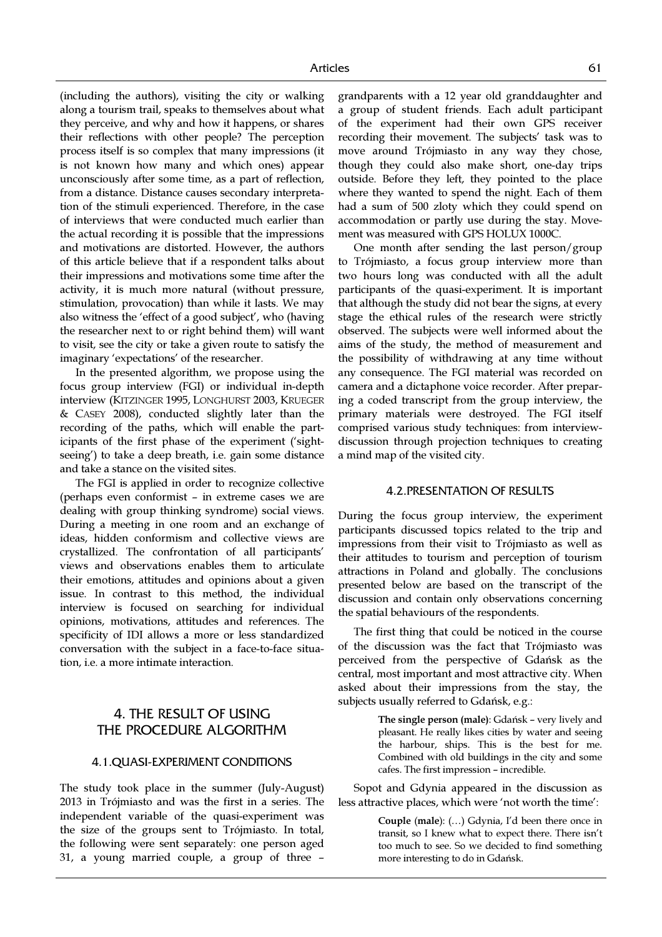(including the authors), visiting the city or walking along a tourism trail, speaks to themselves about what they perceive, and why and how it happens, or shares their reflections with other people? The perception process itself is so complex that many impressions (it is not known how many and which ones) appear unconsciously after some time, as a part of reflection, from a distance. Distance causes secondary interpretation of the stimuli experienced. Therefore, in the case of interviews that were conducted much earlier than the actual recording it is possible that the impressions and motivations are distorted. However, the authors of this article believe that if a respondent talks about their impressions and motivations some time after the activity, it is much more natural (without pressure, stimulation, provocation) than while it lasts. We may also witness the 'effect of a good subject', who (having the researcher next to or right behind them) will want to visit, see the city or take a given route to satisfy the imaginary 'expectations' of the researcher.

In the presented algorithm, we propose using the focus group interview (FGI) or individual in-depth interview (KITZINGER 1995, LONGHURST 2003, KRUEGER & CASEY 2008), conducted slightly later than the recording of the paths, which will enable the participants of the first phase of the experiment ('sightseeing') to take a deep breath, i.e. gain some distance and take a stance on the visited sites.

The FGI is applied in order to recognize collective (perhaps even conformist – in extreme cases we are dealing with group thinking syndrome) social views. During a meeting in one room and an exchange of ideas, hidden conformism and collective views are crystallized. The confrontation of all participants' views and observations enables them to articulate their emotions, attitudes and opinions about a given issue. In contrast to this method, the individual interview is focused on searching for individual opinions, motivations, attitudes and references. The specificity of IDI allows a more or less standardized conversation with the subject in a face-to-face situation, i.e. a more intimate interaction.

### 4. THE RESULT OF USING THE PROCEDURE ALGORITHM

#### 4.1.QUASI-EXPERIMENT CONDITIONS

The study took place in the summer (July-August) 2013 in Trójmiasto and was the first in a series. The independent variable of the quasi-experiment was the size of the groups sent to Trójmiasto. In total, the following were sent separately: one person aged 31, a young married couple, a group of three – grandparents with a 12 year old granddaughter and a group of student friends. Each adult participant of the experiment had their own GPS receiver recording their movement. The subjects' task was to move around Trójmiasto in any way they chose, though they could also make short, one-day trips outside. Before they left, they pointed to the place where they wanted to spend the night. Each of them had a sum of 500 zloty which they could spend on accommodation or partly use during the stay. Movement was measured with GPS HOLUX 1000C.

One month after sending the last person/group to Trójmiasto, a focus group interview more than two hours long was conducted with all the adult participants of the quasi-experiment. It is important that although the study did not bear the signs, at every stage the ethical rules of the research were strictly observed. The subjects were well informed about the aims of the study, the method of measurement and the possibility of withdrawing at any time without any consequence. The FGI material was recorded on camera and a dictaphone voice recorder. After preparing a coded transcript from the group interview, the primary materials were destroyed. The FGI itself comprised various study techniques: from interviewdiscussion through projection techniques to creating a mind map of the visited city.

#### 4.2.PRESENTATION OF RESULTS

During the focus group interview, the experiment participants discussed topics related to the trip and impressions from their visit to Trójmiasto as well as their attitudes to tourism and perception of tourism attractions in Poland and globally. The conclusions presented below are based on the transcript of the discussion and contain only observations concerning the spatial behaviours of the respondents.

The first thing that could be noticed in the course of the discussion was the fact that Trójmiasto was perceived from the perspective of Gdańsk as the central, most important and most attractive city. When asked about their impressions from the stay, the subjects usually referred to Gdańsk, e.g.:

> The single person (male): Gdańsk – very lively and pleasant. He really likes cities by water and seeing the harbour, ships. This is the best for me. Combined with old buildings in the city and some cafes. The first impression – incredible.

Sopot and Gdynia appeared in the discussion as less attractive places, which were 'not worth the time':

> Couple (male): (…) Gdynia, I'd been there once in transit, so I knew what to expect there. There isn't too much to see. So we decided to find something more interesting to do in Gdańsk.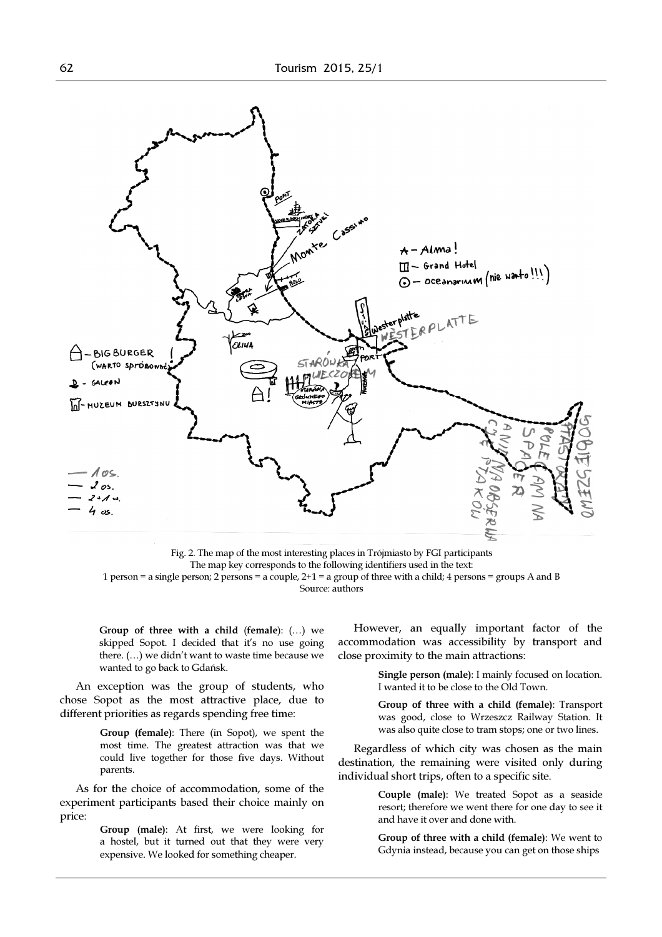

Fig. 2. The map of the most interesting places in Trójmiasto by FGI participants The map key corresponds to the following identifiers used in the text: 1 person = a single person; 2 persons = a couple, 2+1 = a group of three with a child; 4 persons = groups A and B Source: authors

Group of three with a child (female): (…) we skipped Sopot. I decided that it's no use going there. (…) we didn't want to waste time because we wanted to go back to Gdańsk.

An exception was the group of students, who chose Sopot as the most attractive place, due to different priorities as regards spending free time:

> Group (female): There (in Sopot), we spent the most time. The greatest attraction was that we could live together for those five days. Without parents.

As for the choice of accommodation, some of the experiment participants based their choice mainly on price:

> Group (male): At first, we were looking for a hostel, but it turned out that they were very expensive. We looked for something cheaper.

However, an equally important factor of the accommodation was accessibility by transport and close proximity to the main attractions:

> Single person (male): I mainly focused on location. I wanted it to be close to the Old Town.

> Group of three with a child (female): Transport was good, close to Wrzeszcz Railway Station. It was also quite close to tram stops; one or two lines.

Regardless of which city was chosen as the main destination, the remaining were visited only during individual short trips, often to a specific site.

> Couple (male): We treated Sopot as a seaside resort; therefore we went there for one day to see it and have it over and done with.

> Group of three with a child (female): We went to Gdynia instead, because you can get on those ships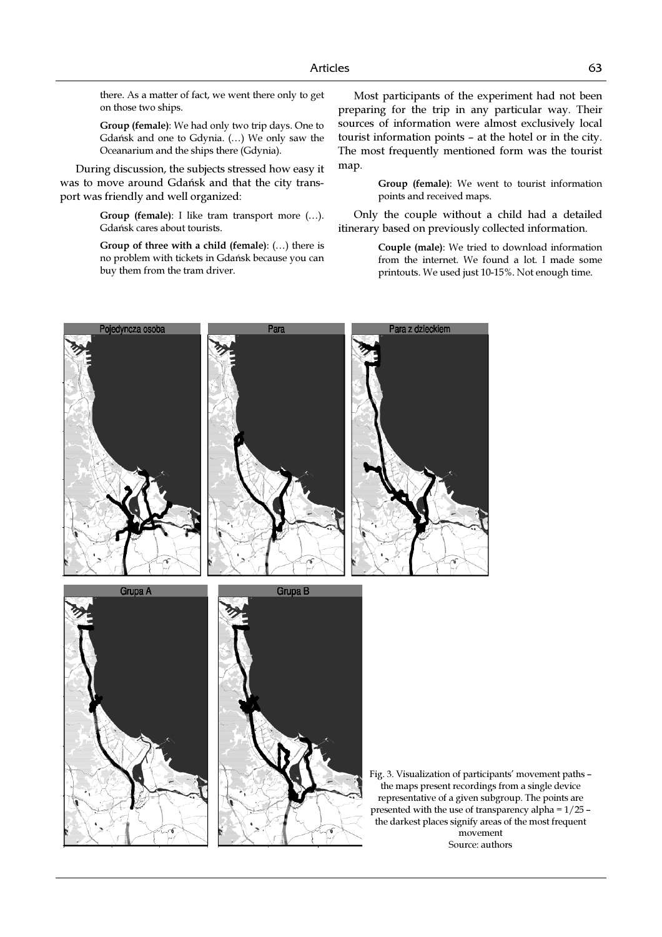there. As a matter of fact, we went there only to get on those two ships.

Group (female): We had only two trip days. One to Gdańsk and one to Gdynia. (…) We only saw the Oceanarium and the ships there (Gdynia).

During discussion, the subjects stressed how easy it was to move around Gdańsk and that the city transport was friendly and well organized:

> Group (female): I like tram transport more (…). Gdańsk cares about tourists.

> Group of three with a child (female): (…) there is no problem with tickets in Gdańsk because you can buy them from the tram driver.

Most participants of the experiment had not been preparing for the trip in any particular way. Their sources of information were almost exclusively local tourist information points – at the hotel or in the city. The most frequently mentioned form was the tourist map.

> Group (female): We went to tourist information points and received maps.

Only the couple without a child had a detailed itinerary based on previously collected information.

> Couple (male): We tried to download information from the internet. We found a lot. I made some printouts. We used just 10-15%. Not enough time.



Fig. 3. Visualization of participants' movement paths – the maps present recordings from a single device representative of a given subgroup. The points are presented with the use of transparency alpha = 1/25 – the darkest places signify areas of the most frequent movement Source: authors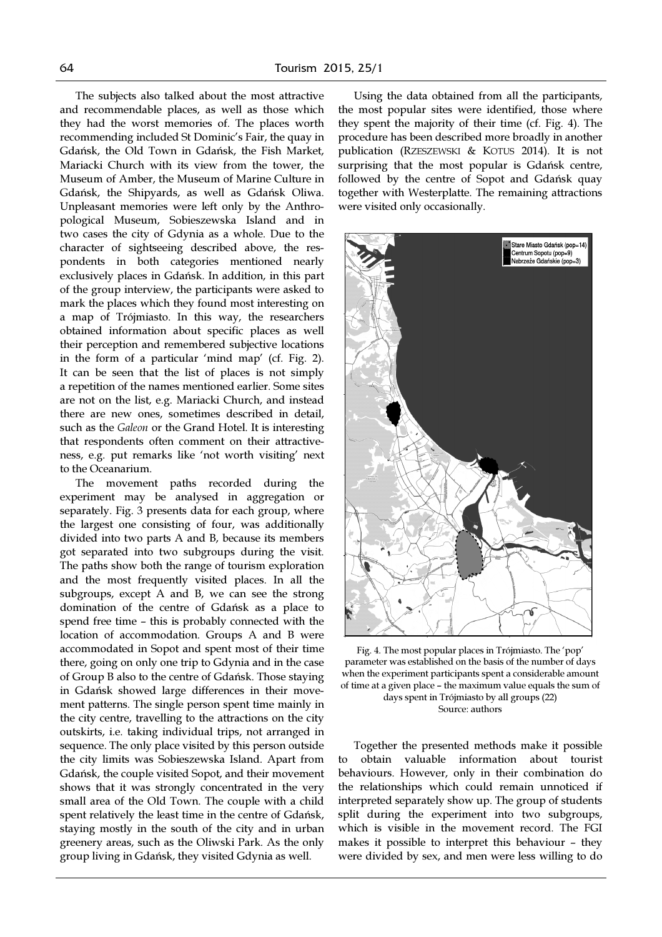The subjects also talked about the most attractive and recommendable places, as well as those which they had the worst memories of. The places worth recommending included St Dominic's Fair, the quay in Gdańsk, the Old Town in Gdańsk, the Fish Market, Mariacki Church with its view from the tower, the Museum of Amber, the Museum of Marine Culture in Gdańsk, the Shipyards, as well as Gdańsk Oliwa. Unpleasant memories were left only by the Anthropological Museum, Sobieszewska Island and in two cases the city of Gdynia as a whole. Due to the character of sightseeing described above, the respondents in both categories mentioned nearly exclusively places in Gdańsk. In addition, in this part of the group interview, the participants were asked to mark the places which they found most interesting on a map of Trójmiasto. In this way, the researchers obtained information about specific places as well their perception and remembered subjective locations in the form of a particular 'mind map' (cf. Fig. 2). It can be seen that the list of places is not simply a repetition of the names mentioned earlier. Some sites are not on the list, e.g. Mariacki Church, and instead there are new ones, sometimes described in detail, such as the Galeon or the Grand Hotel. It is interesting that respondents often comment on their attractiveness, e.g. put remarks like 'not worth visiting' next to the Oceanarium.

The movement paths recorded during the experiment may be analysed in aggregation or separately. Fig. 3 presents data for each group, where the largest one consisting of four, was additionally divided into two parts A and B, because its members got separated into two subgroups during the visit. The paths show both the range of tourism exploration and the most frequently visited places. In all the subgroups, except A and B, we can see the strong domination of the centre of Gdańsk as a place to spend free time – this is probably connected with the location of accommodation. Groups A and B were accommodated in Sopot and spent most of their time there, going on only one trip to Gdynia and in the case of Group B also to the centre of Gdańsk. Those staying in Gdańsk showed large differences in their movement patterns. The single person spent time mainly in the city centre, travelling to the attractions on the city outskirts, i.e. taking individual trips, not arranged in sequence. The only place visited by this person outside the city limits was Sobieszewska Island. Apart from Gdańsk, the couple visited Sopot, and their movement shows that it was strongly concentrated in the very small area of the Old Town. The couple with a child spent relatively the least time in the centre of Gdańsk, staying mostly in the south of the city and in urban greenery areas, such as the Oliwski Park. As the only group living in Gdańsk, they visited Gdynia as well.

Using the data obtained from all the participants, the most popular sites were identified, those where they spent the majority of their time (cf. Fig. 4). The procedure has been described more broadly in another publication (RZESZEWSKI & KOTUS 2014). It is not surprising that the most popular is Gdańsk centre, followed by the centre of Sopot and Gdańsk quay together with Westerplatte. The remaining attractions were visited only occasionally.



Fig. 4. The most popular places in Trójmiasto. The 'pop' parameter was established on the basis of the number of days when the experiment participants spent a considerable amount of time at a given place – the maximum value equals the sum of days spent in Trójmiasto by all groups (22) Source: authors

Together the presented methods make it possible to obtain valuable information about tourist behaviours. However, only in their combination do the relationships which could remain unnoticed if interpreted separately show up. The group of students split during the experiment into two subgroups, which is visible in the movement record. The FGI makes it possible to interpret this behaviour – they were divided by sex, and men were less willing to do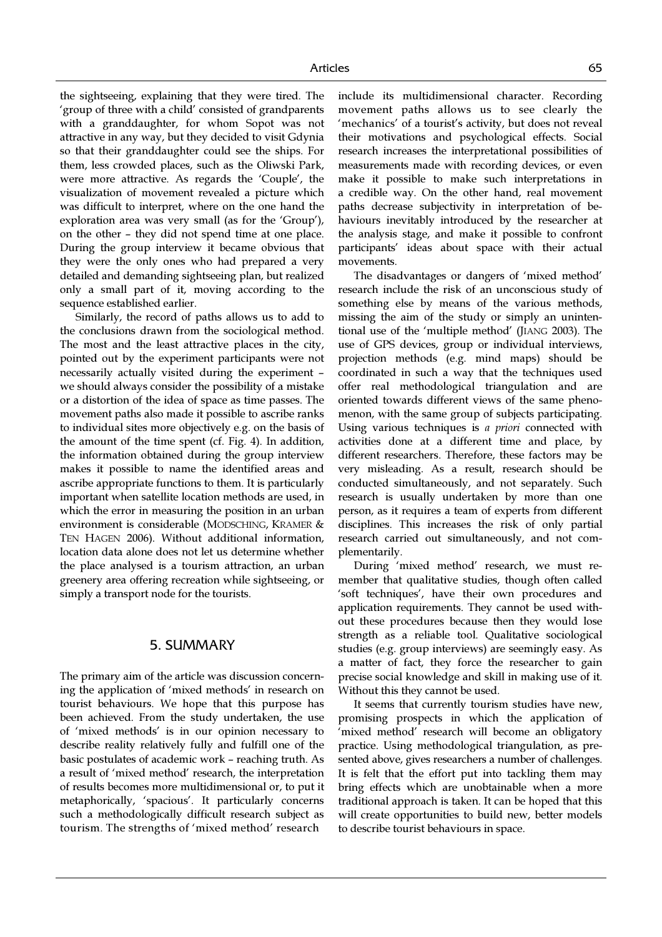the sightseeing, explaining that they were tired. The 'group of three with a child' consisted of grandparents with a granddaughter, for whom Sopot was not attractive in any way, but they decided to visit Gdynia so that their granddaughter could see the ships. For them, less crowded places, such as the Oliwski Park, were more attractive. As regards the 'Couple', the visualization of movement revealed a picture which was difficult to interpret, where on the one hand the exploration area was very small (as for the 'Group'), on the other – they did not spend time at one place. During the group interview it became obvious that they were the only ones who had prepared a very detailed and demanding sightseeing plan, but realized only a small part of it, moving according to the sequence established earlier.

Similarly, the record of paths allows us to add to the conclusions drawn from the sociological method. The most and the least attractive places in the city, pointed out by the experiment participants were not necessarily actually visited during the experiment – we should always consider the possibility of a mistake or a distortion of the idea of space as time passes. The movement paths also made it possible to ascribe ranks to individual sites more objectively e.g. on the basis of the amount of the time spent (cf. Fig. 4). In addition, the information obtained during the group interview makes it possible to name the identified areas and ascribe appropriate functions to them. It is particularly important when satellite location methods are used, in which the error in measuring the position in an urban environment is considerable (MODSCHING, KRAMER & TEN HAGEN 2006). Without additional information, location data alone does not let us determine whether the place analysed is a tourism attraction, an urban greenery area offering recreation while sightseeing, or simply a transport node for the tourists.

### 5. SUMMARY

The primary aim of the article was discussion concerning the application of 'mixed methods' in research on tourist behaviours. We hope that this purpose has been achieved. From the study undertaken, the use of 'mixed methods' is in our opinion necessary to describe reality relatively fully and fulfill one of the basic postulates of academic work – reaching truth. As a result of 'mixed method' research, the interpretation of results becomes more multidimensional or, to put it metaphorically, 'spacious'. It particularly concerns such a methodologically difficult research subject as tourism. The strengths of 'mixed method' research

include its multidimensional character. Recording movement paths allows us to see clearly the 'mechanics' of a tourist's activity, but does not reveal their motivations and psychological effects. Social research increases the interpretational possibilities of measurements made with recording devices, or even make it possible to make such interpretations in a credible way. On the other hand, real movement paths decrease subjectivity in interpretation of behaviours inevitably introduced by the researcher at the analysis stage, and make it possible to confront participants' ideas about space with their actual movements.

The disadvantages or dangers of 'mixed method' research include the risk of an unconscious study of something else by means of the various methods, missing the aim of the study or simply an unintentional use of the 'multiple method' (JIANG 2003). The use of GPS devices, group or individual interviews, projection methods (e.g. mind maps) should be coordinated in such a way that the techniques used offer real methodological triangulation and are oriented towards different views of the same phenomenon, with the same group of subjects participating. Using various techniques is a priori connected with activities done at a different time and place, by different researchers. Therefore, these factors may be very misleading. As a result, research should be conducted simultaneously, and not separately. Such research is usually undertaken by more than one person, as it requires a team of experts from different disciplines. This increases the risk of only partial research carried out simultaneously, and not complementarily.

During 'mixed method' research, we must remember that qualitative studies, though often called 'soft techniques', have their own procedures and application requirements. They cannot be used without these procedures because then they would lose strength as a reliable tool. Qualitative sociological studies (e.g. group interviews) are seemingly easy. As a matter of fact, they force the researcher to gain precise social knowledge and skill in making use of it. Without this they cannot be used.

It seems that currently tourism studies have new, promising prospects in which the application of 'mixed method' research will become an obligatory practice. Using methodological triangulation, as presented above, gives researchers a number of challenges. It is felt that the effort put into tackling them may bring effects which are unobtainable when a more traditional approach is taken. It can be hoped that this will create opportunities to build new, better models to describe tourist behaviours in space.